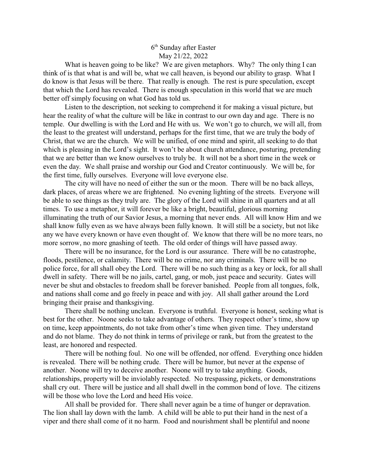## 6 th Sunday after Easter May 21/22, 2022

What is heaven going to be like? We are given metaphors. Why? The only thing I can think of is that what is and will be, what we call heaven, is beyond our ability to grasp. What I do know is that Jesus will be there. That really is enough. The rest is pure speculation, except that which the Lord has revealed. There is enough speculation in this world that we are much better off simply focusing on what God has told us.

Listen to the description, not seeking to comprehend it for making a visual picture, but hear the reality of what the culture will be like in contrast to our own day and age. There is no temple. Our dwelling is with the Lord and He with us. We won't go to church, we will all, from the least to the greatest will understand, perhaps for the first time, that we are truly the body of Christ, that we are the church. We will be unified, of one mind and spirit, all seeking to do that which is pleasing in the Lord's sight. It won't be about church attendance, posturing, pretending that we are better than we know ourselves to truly be. It will not be a short time in the week or even the day. We shall praise and worship our God and Creator continuously. We will be, for the first time, fully ourselves. Everyone will love everyone else.

The city will have no need of either the sun or the moon. There will be no back alleys, dark places, of areas where we are frightened. No evening lighting of the streets. Everyone will be able to see things as they truly are. The glory of the Lord will shine in all quarters and at all times. To use a metaphor, it will forever be like a bright, beautiful, glorious morning illuminating the truth of our Savior Jesus, a morning that never ends. All will know Him and we shall know fully even as we have always been fully known. It will still be a society, but not like any we have every known or have even thought of. We know that there will be no more tears, no more sorrow, no more gnashing of teeth. The old order of things will have passed away.

There will be no insurance, for the Lord is our assurance. There will be no catastrophe, floods, pestilence, or calamity. There will be no crime, nor any criminals. There will be no police force, for all shall obey the Lord. There will be no such thing as a key or lock, for all shall dwell in safety. There will be no jails, cartel, gang, or mob, just peace and security. Gates will never be shut and obstacles to freedom shall be forever banished. People from all tongues, folk, and nations shall come and go freely in peace and with joy. All shall gather around the Lord bringing their praise and thanksgiving.

There shall be nothing unclean. Everyone is truthful. Everyone is honest, seeking what is best for the other. Noone seeks to take advantage of others. They respect other's time, show up on time, keep appointments, do not take from other's time when given time. They understand and do not blame. They do not think in terms of privilege or rank, but from the greatest to the least, are honored and respected.

There will be nothing foul. No one will be offended, nor offend. Everything once hidden is revealed. There will be nothing crude. There will be humor, but never at the expense of another. Noone will try to deceive another. Noone will try to take anything. Goods, relationships, property will be inviolably respected. No trespassing, pickets, or demonstrations shall cry out. There will be justice and all shall dwell in the common bond of love. The citizens will be those who love the Lord and heed His voice.

All shall be provided for. There shall never again be a time of hunger or depravation. The lion shall lay down with the lamb. A child will be able to put their hand in the nest of a viper and there shall come of it no harm. Food and nourishment shall be plentiful and noone